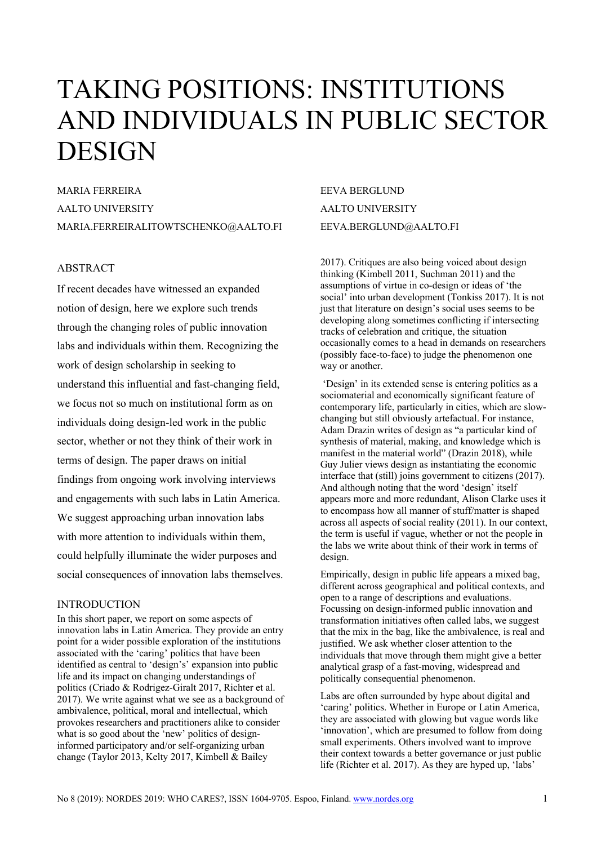# TAKING POSITIONS: INSTITUTIONS AND INDIVIDUALS IN PUBLIC SECTOR **DESIGN**

MARIA FERREIRA AALTO UNIVERSITY MARIA.FERREIRALITOWTSCHENKO@AALTO.FI

## ABSTRACT

If recent decades have witnessed an expanded notion of design, here we explore such trends through the changing roles of public innovation labs and individuals within them. Recognizing the work of design scholarship in seeking to understand this influential and fast-changing field, we focus not so much on institutional form as on individuals doing design-led work in the public sector, whether or not they think of their work in terms of design. The paper draws on initial findings from ongoing work involving interviews and engagements with such labs in Latin America. We suggest approaching urban innovation labs with more attention to individuals within them. could helpfully illuminate the wider purposes and social consequences of innovation labs themselves.

# INTRODUCTION

In this short paper, we report on some aspects of innovation labs in Latin America. They provide an entry point for a wider possible exploration of the institutions associated with the 'caring' politics that have been identified as central to 'design's' expansion into public life and its impact on changing understandings of politics (Criado & Rodrigez-Giralt 2017, Richter et al. 2017). We write against what we see as a background of ambivalence, political, moral and intellectual, which provokes researchers and practitioners alike to consider what is so good about the 'new' politics of designinformed participatory and/or self-organizing urban change (Taylor 2013, Kelty 2017, Kimbell & Bailey

EEVA BERGLUND AALTO UNIVERSITY EEVA.BERGLUND@AALTO.FI

2017). Critiques are also being voiced about design thinking (Kimbell 2011, Suchman 2011) and the assumptions of virtue in co-design or ideas of 'the social' into urban development (Tonkiss 2017). It is not just that literature on design's social uses seems to be developing along sometimes conflicting if intersecting tracks of celebration and critique, the situation occasionally comes to a head in demands on researchers (possibly face-to-face) to judge the phenomenon one way or another.

'Design' in its extended sense is entering politics as a sociomaterial and economically significant feature of contemporary life, particularly in cities, which are slowchanging but still obviously artefactual. For instance, Adam Drazin writes of design as "a particular kind of synthesis of material, making, and knowledge which is manifest in the material world" (Drazin 2018), while Guy Julier views design as instantiating the economic interface that (still) joins government to citizens (2017). And although noting that the word 'design' itself appears more and more redundant, Alison Clarke uses it to encompass how all manner of stuff/matter is shaped across all aspects of social reality (2011). In our context, the term is useful if vague, whether or not the people in the labs we write about think of their work in terms of design.

Empirically, design in public life appears a mixed bag, different across geographical and political contexts, and open to a range of descriptions and evaluations. Focussing on design-informed public innovation and transformation initiatives often called labs, we suggest that the mix in the bag, like the ambivalence, is real and justified. We ask whether closer attention to the individuals that move through them might give a better analytical grasp of a fast-moving, widespread and politically consequential phenomenon.

Labs are often surrounded by hype about digital and 'caring' politics. Whether in Europe or Latin America, they are associated with glowing but vague words like 'innovation', which are presumed to follow from doing small experiments. Others involved want to improve their context towards a better governance or just public life (Richter et al. 2017). As they are hyped up, 'labs'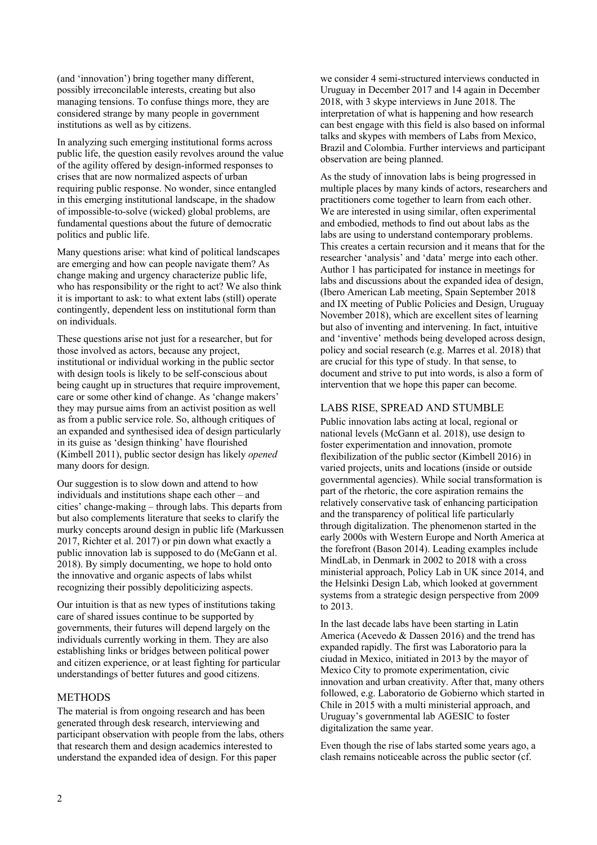(and 'innovation') bring together many different, possibly irreconcilable interests, creating but also managing tensions. To confuse things more, they are considered strange by many people in government institutions as well as by citizens.

In analyzing such emerging institutional forms across public life, the question easily revolves around the value of the agility offered by design-informed responses to crises that are now normalized aspects of urban requiring public response. No wonder, since entangled in this emerging institutional landscape, in the shadow of impossible-to-solve (wicked) global problems, are fundamental questions about the future of democratic politics and public life.

Many questions arise: what kind of political landscapes are emerging and how can people navigate them? As change making and urgency characterize public life, who has responsibility or the right to act? We also think it is important to ask: to what extent labs (still) operate contingently, dependent less on institutional form than on individuals.

These questions arise not just for a researcher, but for those involved as actors, because any project, institutional or individual working in the public sector with design tools is likely to be self-conscious about being caught up in structures that require improvement, care or some other kind of change. As 'change makers' they may pursue aims from an activist position as well as from a public service role. So, although critiques of an expanded and synthesised idea of design particularly in its guise as 'design thinking' have flourished (Kimbell 2011), public sector design has likely *opened* many doors for design.

Our suggestion is to slow down and attend to how individuals and institutions shape each other – and cities' change-making – through labs. This departs from but also complements literature that seeks to clarify the murky concepts around design in public life (Markussen 2017, Richter et al. 2017) or pin down what exactly a public innovation lab is supposed to do (McGann et al. 2018). By simply documenting, we hope to hold onto the innovative and organic aspects of labs whilst recognizing their possibly depoliticizing aspects.

Our intuition is that as new types of institutions taking care of shared issues continue to be supported by governments, their futures will depend largely on the individuals currently working in them. They are also establishing links or bridges between political power and citizen experience, or at least fighting for particular understandings of better futures and good citizens.

#### **METHODS**

The material is from ongoing research and has been generated through desk research, interviewing and participant observation with people from the labs, others that research them and design academics interested to understand the expanded idea of design. For this paper

we consider 4 semi-structured interviews conducted in Uruguay in December 2017 and 14 again in December 2018, with 3 skype interviews in June 2018. The interpretation of what is happening and how research can best engage with this field is also based on informal talks and skypes with members of Labs from Mexico, Brazil and Colombia. Further interviews and participant observation are being planned.

As the study of innovation labs is being progressed in multiple places by many kinds of actors, researchers and practitioners come together to learn from each other. We are interested in using similar, often experimental and embodied, methods to find out about labs as the labs are using to understand contemporary problems. This creates a certain recursion and it means that for the researcher 'analysis' and 'data' merge into each other. Author 1 has participated for instance in meetings for labs and discussions about the expanded idea of design, (Ibero American Lab meeting, Spain September 2018 and IX meeting of Public Policies and Design, Uruguay November 2018), which are excellent sites of learning but also of inventing and intervening. In fact, intuitive and 'inventive' methods being developed across design, policy and social research (e.g. Marres et al. 2018) that are crucial for this type of study. In that sense, to document and strive to put into words, is also a form of intervention that we hope this paper can become.

#### LABS RISE, SPREAD AND STUMBLE

Public innovation labs acting at local, regional or national levels (McGann et al. 2018), use design to foster experimentation and innovation, promote flexibilization of the public sector (Kimbell 2016) in varied projects, units and locations (inside or outside governmental agencies). While social transformation is part of the rhetoric, the core aspiration remains the relatively conservative task of enhancing participation and the transparency of political life particularly through digitalization. The phenomenon started in the early 2000s with Western Europe and North America at the forefront (Bason 2014). Leading examples include MindLab, in Denmark in 2002 to 2018 with a cross ministerial approach, Policy Lab in UK since 2014, and the Helsinki Design Lab, which looked at government systems from a strategic design perspective from 2009 to 2013.

In the last decade labs have been starting in Latin America (Acevedo & Dassen 2016) and the trend has expanded rapidly. The first was Laboratorio para la ciudad in Mexico, initiated in 2013 by the mayor of Mexico City to promote experimentation, civic innovation and urban creativity. After that, many others followed, e.g. Laboratorio de Gobierno which started in Chile in 2015 with a multi ministerial approach, and Uruguay's governmental lab AGESIC to foster digitalization the same year.

Even though the rise of labs started some years ago, a clash remains noticeable across the public sector (cf.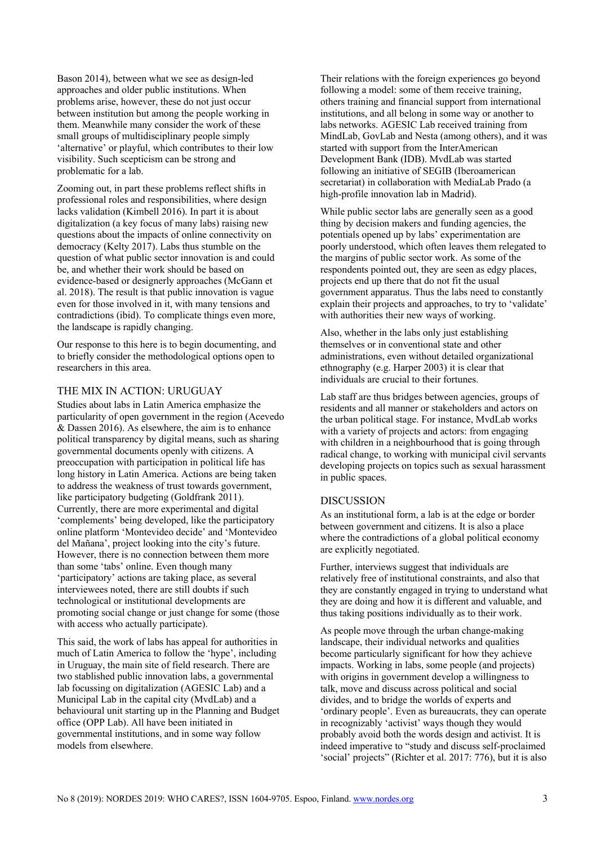Bason 2014), between what we see as design-led approaches and older public institutions. When problems arise, however, these do not just occur between institution but among the people working in them. Meanwhile many consider the work of these small groups of multidisciplinary people simply 'alternative' or playful, which contributes to their low visibility. Such scepticism can be strong and problematic for a lab.

Zooming out, in part these problems reflect shifts in professional roles and responsibilities, where design lacks validation (Kimbell 2016). In part it is about digitalization (a key focus of many labs) raising new questions about the impacts of online connectivity on democracy (Kelty 2017). Labs thus stumble on the question of what public sector innovation is and could be, and whether their work should be based on evidence-based or designerly approaches (McGann et al. 2018). The result is that public innovation is vague even for those involved in it, with many tensions and contradictions (ibid). To complicate things even more, the landscape is rapidly changing.

Our response to this here is to begin documenting, and to briefly consider the methodological options open to researchers in this area.

### THE MIX IN ACTION: URUGUAY

Studies about labs in Latin America emphasize the particularity of open government in the region (Acevedo & Dassen 2016). As elsewhere, the aim is to enhance political transparency by digital means, such as sharing governmental documents openly with citizens. A preoccupation with participation in political life has long history in Latin America. Actions are being taken to address the weakness of trust towards government, like participatory budgeting (Goldfrank 2011). Currently, there are more experimental and digital 'complements' being developed, like the participatory online platform 'Montevideo decide' and 'Montevideo del Mañana', project looking into the city's future. However, there is no connection between them more than some 'tabs' online. Even though many 'participatory' actions are taking place, as several interviewees noted, there are still doubts if such technological or institutional developments are promoting social change or just change for some (those with access who actually participate).

This said, the work of labs has appeal for authorities in much of Latin America to follow the 'hype', including in Uruguay, the main site of field research. There are two stablished public innovation labs, a governmental lab focussing on digitalization (AGESIC Lab) and a Municipal Lab in the capital city (MvdLab) and a behavioural unit starting up in the Planning and Budget office (OPP Lab). All have been initiated in governmental institutions, and in some way follow models from elsewhere.

Their relations with the foreign experiences go beyond following a model: some of them receive training, others training and financial support from international institutions, and all belong in some way or another to labs networks. AGESIC Lab received training from MindLab, GovLab and Nesta (among others), and it was started with support from the InterAmerican Development Bank (IDB). MvdLab was started following an initiative of SEGIB (Iberoamerican secretariat) in collaboration with MediaLab Prado (a high-profile innovation lab in Madrid).

While public sector labs are generally seen as a good thing by decision makers and funding agencies, the potentials opened up by labs' experimentation are poorly understood, which often leaves them relegated to the margins of public sector work. As some of the respondents pointed out, they are seen as edgy places, projects end up there that do not fit the usual government apparatus. Thus the labs need to constantly explain their projects and approaches, to try to 'validate' with authorities their new ways of working.

Also, whether in the labs only just establishing themselves or in conventional state and other administrations, even without detailed organizational ethnography (e.g. Harper 2003) it is clear that individuals are crucial to their fortunes.

Lab staff are thus bridges between agencies, groups of residents and all manner or stakeholders and actors on the urban political stage. For instance, MvdLab works with a variety of projects and actors: from engaging with children in a neighbourhood that is going through radical change, to working with municipal civil servants developing projects on topics such as sexual harassment in public spaces.

#### **DISCUSSION**

As an institutional form, a lab is at the edge or border between government and citizens. It is also a place where the contradictions of a global political economy are explicitly negotiated.

Further, interviews suggest that individuals are relatively free of institutional constraints, and also that they are constantly engaged in trying to understand what they are doing and how it is different and valuable, and thus taking positions individually as to their work.

As people move through the urban change-making landscape, their individual networks and qualities become particularly significant for how they achieve impacts. Working in labs, some people (and projects) with origins in government develop a willingness to talk, move and discuss across political and social divides, and to bridge the worlds of experts and 'ordinary people'. Even as bureaucrats, they can operate in recognizably 'activist' ways though they would probably avoid both the words design and activist. It is indeed imperative to "study and discuss self-proclaimed 'social' projects" (Richter et al. 2017: 776), but it is also